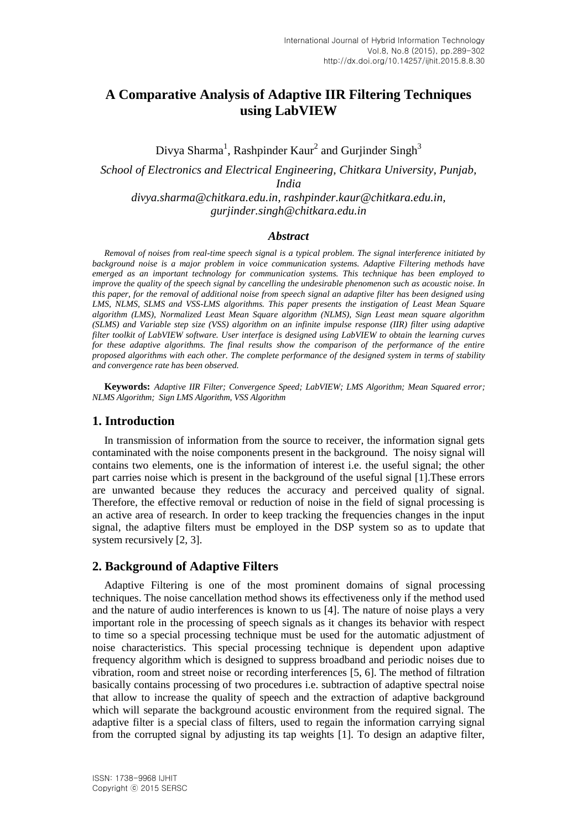# **A Comparative Analysis of Adaptive IIR Filtering Techniques using LabVIEW**

Divya Sharma<sup>1</sup>, Rashpinder Kaur<sup>2</sup> and Gurjinder Singh<sup>3</sup>

*School of Electronics and Electrical Engineering, Chitkara University, Punjab, India divya.sharma@chitkara.edu.in, rashpinder.kaur@chitkara.edu.in, gurjinder.singh@chitkara.edu.in*

#### *Abstract*

*Removal of noises from real-time speech signal is a typical problem. The signal interference initiated by background noise is a major problem in voice communication systems. Adaptive Filtering methods have emerged as an important technology for communication systems. This technique has been employed to improve the quality of the speech signal by cancelling the undesirable phenomenon such as acoustic noise. In this paper, for the removal of additional noise from speech signal an adaptive filter has been designed using LMS, NLMS, SLMS and VSS-LMS algorithms. This paper presents the instigation of Least Mean Square algorithm (LMS), Normalized Least Mean Square algorithm (NLMS), Sign Least mean square algorithm (SLMS) and Variable step size (VSS) algorithm on an infinite impulse response (IIR) filter using adaptive filter toolkit of LabVIEW software. User interface is designed using LabVIEW to obtain the learning curves for these adaptive algorithms. The final results show the comparison of the performance of the entire proposed algorithms with each other. The complete performance of the designed system in terms of stability and convergence rate has been observed.*

**Keywords:** *Adaptive IIR Filter; Convergence Speed; LabVIEW; LMS Algorithm; Mean Squared error; NLMS Algorithm; Sign LMS Algorithm, VSS Algorithm*

#### **1. Introduction**

In transmission of information from the source to receiver, the information signal gets contaminated with the noise components present in the background. The noisy signal will contains two elements, one is the information of interest i.e. the useful signal; the other part carries noise which is present in the background of the useful signal [1].These errors are unwanted because they reduces the accuracy and perceived quality of signal. Therefore, the effective removal or reduction of noise in the field of signal processing is an active area of research. In order to keep tracking the frequencies changes in the input signal, the adaptive filters must be employed in the DSP system so as to update that system recursively [2, 3].

#### **2. Background of Adaptive Filters**

Adaptive Filtering is one of the most prominent domains of signal processing techniques. The noise cancellation method shows its effectiveness only if the method used and the nature of audio interferences is known to us [4]. The nature of noise plays a very important role in the processing of speech signals as it changes its behavior with respect to time so a special processing technique must be used for the automatic adjustment of noise characteristics. This special processing technique is dependent upon adaptive frequency algorithm which is designed to suppress broadband and periodic noises due to vibration, room and street noise or recording interferences [5, 6]. The method of filtration basically contains processing of two procedures i.e. subtraction of adaptive spectral noise that allow to increase the quality of speech and the extraction of adaptive background which will separate the background acoustic environment from the required signal. The adaptive filter is a special class of filters, used to regain the information carrying signal from the corrupted signal by adjusting its tap weights [1]. To design an adaptive filter,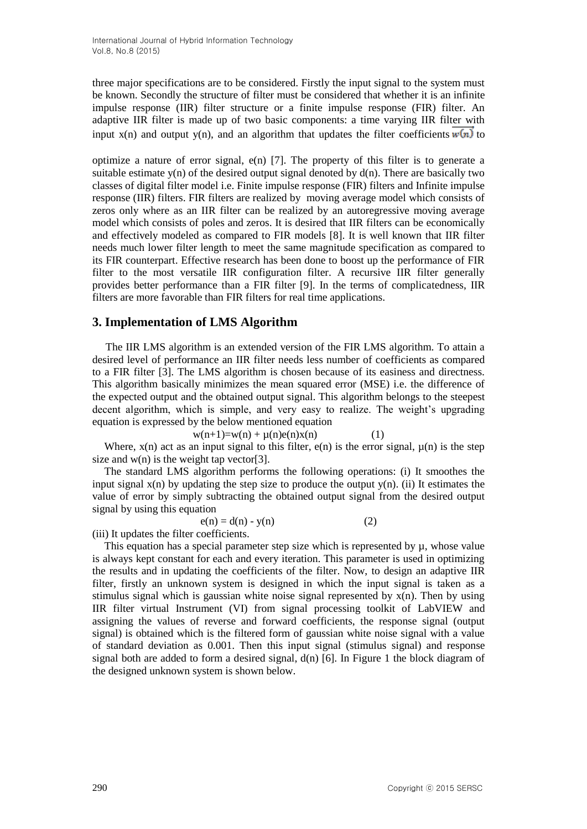three major specifications are to be considered. Firstly the input signal to the system must be known. Secondly the structure of filter must be considered that whether it is an infinite impulse response (IIR) filter structure or a finite impulse response (FIR) filter. An adaptive IIR filter is made up of two basic components: a time varying IIR filter with input  $x(n)$  and output  $y(n)$ , and an algorithm that updates the filter coefficients  $w(n)$  to

optimize a nature of error signal, e(n) [7]. The property of this filter is to generate a suitable estimate  $y(n)$  of the desired output signal denoted by  $d(n)$ . There are basically two classes of digital filter model i.e. Finite impulse response (FIR) filters and Infinite impulse response (IIR) filters. FIR filters are realized by moving average model which consists of zeros only where as an IIR filter can be realized by an autoregressive moving average model which consists of poles and zeros. It is desired that IIR filters can be economically and effectively modeled as compared to FIR models [8]. It is well known that IIR filter needs much lower filter length to meet the same magnitude specification as compared to its FIR counterpart. Effective research has been done to boost up the performance of FIR filter to the most versatile IIR configuration filter. A recursive IIR filter generally provides better performance than a FIR filter [9]. In the terms of complicatedness, IIR filters are more favorable than FIR filters for real time applications.

### **3. Implementation of LMS Algorithm**

The IIR LMS algorithm is an extended version of the FIR LMS algorithm. To attain a desired level of performance an IIR filter needs less number of coefficients as compared to a FIR filter [3]. The LMS algorithm is chosen because of its easiness and directness. This algorithm basically minimizes the mean squared error (MSE) i.e. the difference of the expected output and the obtained output signal. This algorithm belongs to the steepest decent algorithm, which is simple, and very easy to realize. The weight's upgrading equation is expressed by the below mentioned equation

 $w(n+1)=w(n) + \mu(n)e(n)x(n)$  (1)

Where,  $x(n)$  act as an input signal to this filter,  $e(n)$  is the error signal,  $\mu(n)$  is the step size and  $w(n)$  is the weight tap vector[3].

The standard LMS algorithm performs the following operations: (i) It smoothes the input signal  $x(n)$  by updating the step size to produce the output  $y(n)$ . (ii) It estimates the value of error by simply subtracting the obtained output signal from the desired output signal by using this equation

$$
e(n) = d(n) - y(n) \tag{2}
$$

(iii) It updates the filter coefficients.

This equation has a special parameter step size which is represented by µ, whose value is always kept constant for each and every iteration. This parameter is used in optimizing the results and in updating the coefficients of the filter. Now, to design an adaptive IIR filter, firstly an unknown system is designed in which the input signal is taken as a stimulus signal which is gaussian white noise signal represented by  $x(n)$ . Then by using IIR filter virtual Instrument (VI) from signal processing toolkit of LabVIEW and assigning the values of reverse and forward coefficients, the response signal (output signal) is obtained which is the filtered form of gaussian white noise signal with a value of standard deviation as 0.001. Then this input signal (stimulus signal) and response signal both are added to form a desired signal, d(n) [6]. In Figure 1 the block diagram of the designed unknown system is shown below.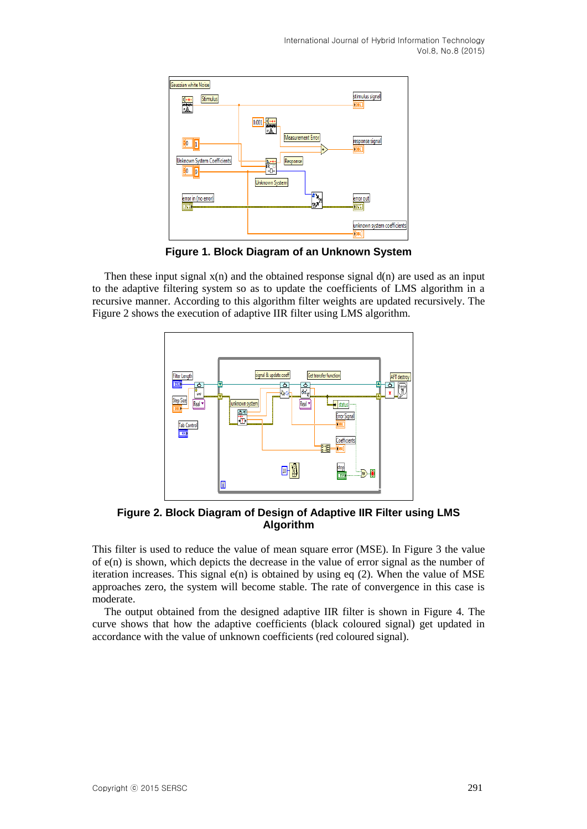

**Figure 1. Block Diagram of an Unknown System**

Then these input signal  $x(n)$  and the obtained response signal  $d(n)$  are used as an input to the adaptive filtering system so as to update the coefficients of LMS algorithm in a recursive manner. According to this algorithm filter weights are updated recursively. The Figure 2 shows the execution of adaptive IIR filter using LMS algorithm.



**Figure 2. Block Diagram of Design of Adaptive IIR Filter using LMS Algorithm**

This filter is used to reduce the value of mean square error (MSE). In Figure 3 the value of e(n) is shown, which depicts the decrease in the value of error signal as the number of iteration increases. This signal  $e(n)$  is obtained by using eq (2). When the value of MSE approaches zero, the system will become stable. The rate of convergence in this case is moderate.

The output obtained from the designed adaptive IIR filter is shown in Figure 4. The curve shows that how the adaptive coefficients (black coloured signal) get updated in accordance with the value of unknown coefficients (red coloured signal).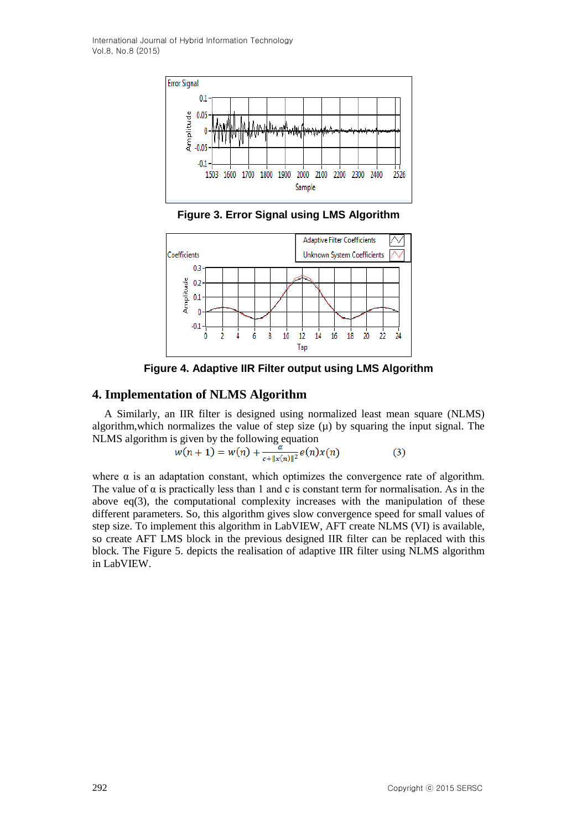

**Figure 3. Error Signal using LMS Algorithm**



**Figure 4. Adaptive IIR Filter output using LMS Algorithm**

### **4. Implementation of NLMS Algorithm**

A Similarly, an IIR filter is designed using normalized least mean square (NLMS) algorithm, which normalizes the value of step size  $(\mu)$  by squaring the input signal. The NLMS algorithm is given by the following equation

$$
w(n+1) = w(n) + \frac{\alpha}{c + ||x(n)||^2} e(n)x(n)
$$
 (3)

where  $\alpha$  is an adaptation constant, which optimizes the convergence rate of algorithm. The value of  $\alpha$  is practically less than 1 and c is constant term for normalisation. As in the above  $eq(3)$ , the computational complexity increases with the manipulation of these different parameters. So, this algorithm gives slow convergence speed for small values of step size. To implement this algorithm in LabVIEW, AFT create NLMS (VI) is available, so create AFT LMS block in the previous designed IIR filter can be replaced with this block. The Figure 5. depicts the realisation of adaptive IIR filter using NLMS algorithm in LabVIEW.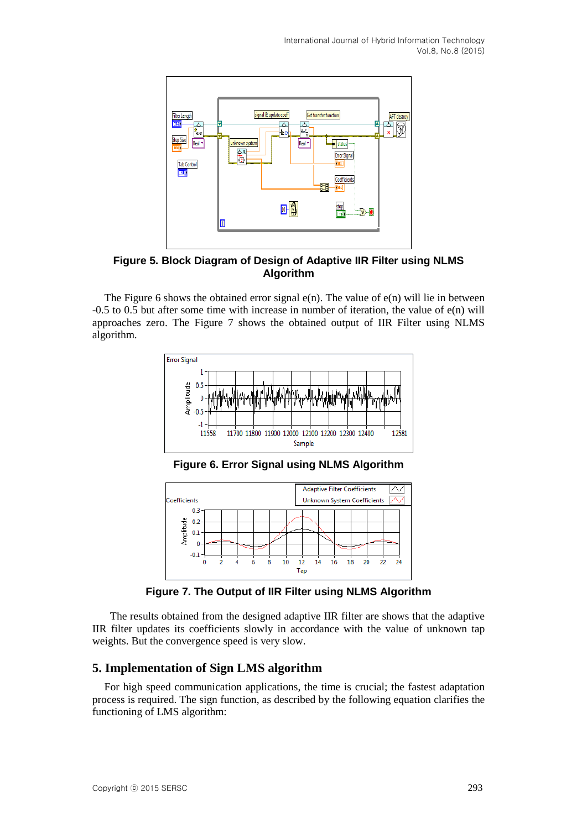

**Figure 5. Block Diagram of Design of Adaptive IIR Filter using NLMS Algorithm**

The Figure 6 shows the obtained error signal  $e(n)$ . The value of  $e(n)$  will lie in between -0.5 to 0.5 but after some time with increase in number of iteration, the value of e(n) will approaches zero. The Figure 7 shows the obtained output of IIR Filter using NLMS algorithm.



**Figure 6. Error Signal using NLMS Algorithm**



**Figure 7. The Output of IIR Filter using NLMS Algorithm**

The results obtained from the designed adaptive IIR filter are shows that the adaptive IIR filter updates its coefficients slowly in accordance with the value of unknown tap weights. But the convergence speed is very slow.

## **5. Implementation of Sign LMS algorithm**

For high speed communication applications, the time is crucial; the fastest adaptation process is required. The sign function, as described by the following equation clarifies the functioning of LMS algorithm: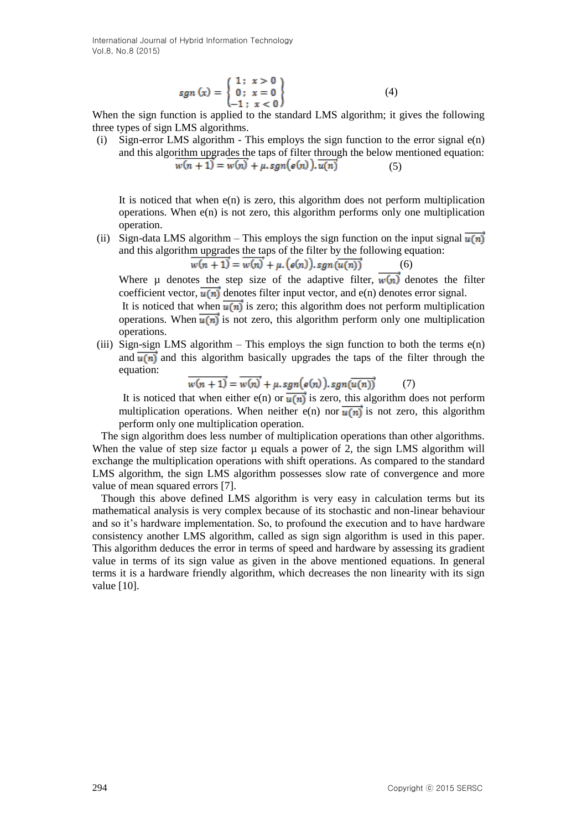$$
sgn(x) = \begin{cases} 1; & x > 0 \\ 0; & x = 0 \\ -1; & x < 0 \end{cases}
$$
 (4)

When the sign function is applied to the standard LMS algorithm; it gives the following three types of sign LMS algorithms.

(i) Sign-error LMS algorithm - This employs the sign function to the error signal e(n) and this algorithm upgrades the taps of filter through the below mentioned equation:  $w(n + 1) = w(n) + \mu \cdot sgn(e(n)).$   $\overline{u(n)}$  (5)

It is noticed that when  $e(n)$  is zero, this algorithm does not perform multiplication operations. When  $e(n)$  is not zero, this algorithm performs only one multiplication operation.

(ii) Sign-data LMS algorithm – This employs the sign function on the input signal  $\overline{u(n)}$ and this algorithm upgrades the taps of the filter by the following equation:

$$
w(n + 1) = w(n) + \mu \cdot (e(n)), sgn(\overline{u(n)})
$$
 (6)

Where u denotes the step size of the adaptive filter,  $\overline{w(n)}$  denotes the filter coefficient vector,  $\overline{u(n)}$  denotes filter input vector, and e(n) denotes error signal.

It is noticed that when  $\overline{u(n)}$  is zero; this algorithm does not perform multiplication operations. When  $\overline{u(n)}$  is not zero, this algorithm perform only one multiplication operations.

(iii) Sign-sign LMS algorithm – This employs the sign function to both the terms e(n) and  $\overline{u(n)}$  and this algorithm basically upgrades the taps of the filter through the equation:

$$
\overline{w(n+1)} = \overline{w(n)} + \mu \cdot sgn(e(n)) \cdot sgn(\overline{u(n)})
$$
 (7)

It is noticed that when either e(n) or  $\overline{u(n)}$  is zero, this algorithm does not perform multiplication operations. When neither e(n) nor  $\overrightarrow{u(n)}$  is not zero, this algorithm perform only one multiplication operation.

The sign algorithm does less number of multiplication operations than other algorithms. When the value of step size factor  $\mu$  equals a power of 2, the sign LMS algorithm will exchange the multiplication operations with shift operations. As compared to the standard LMS algorithm, the sign LMS algorithm possesses slow rate of convergence and more value of mean squared errors [7].

Though this above defined LMS algorithm is very easy in calculation terms but its mathematical analysis is very complex because of its stochastic and non-linear behaviour and so it's hardware implementation. So, to profound the execution and to have hardware consistency another LMS algorithm, called as sign sign algorithm is used in this paper. This algorithm deduces the error in terms of speed and hardware by assessing its gradient value in terms of its sign value as given in the above mentioned equations. In general terms it is a hardware friendly algorithm, which decreases the non linearity with its sign value [10].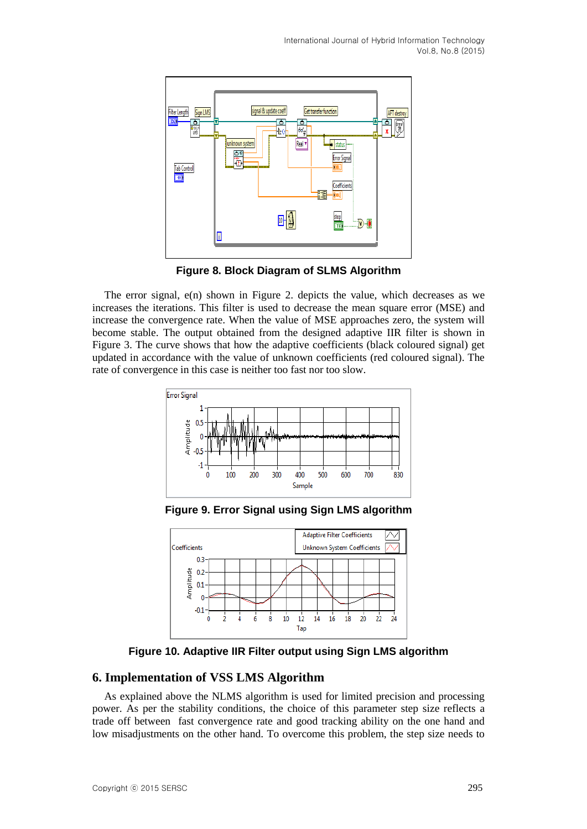

**Figure 8. Block Diagram of SLMS Algorithm**

The error signal, e(n) shown in Figure 2. depicts the value, which decreases as we increases the iterations. This filter is used to decrease the mean square error (MSE) and increase the convergence rate. When the value of MSE approaches zero, the system will become stable. The output obtained from the designed adaptive IIR filter is shown in Figure 3. The curve shows that how the adaptive coefficients (black coloured signal) get updated in accordance with the value of unknown coefficients (red coloured signal). The rate of convergence in this case is neither too fast nor too slow.



**Figure 9. Error Signal using Sign LMS algorithm**



**Figure 10. Adaptive IIR Filter output using Sign LMS algorithm**

## **6. Implementation of VSS LMS Algorithm**

As explained above the NLMS algorithm is used for limited precision and processing power. As per the stability conditions, the choice of this parameter step size reflects a trade off between fast convergence rate and good tracking ability on the one hand and low misadjustments on the other hand. To overcome this problem, the step size needs to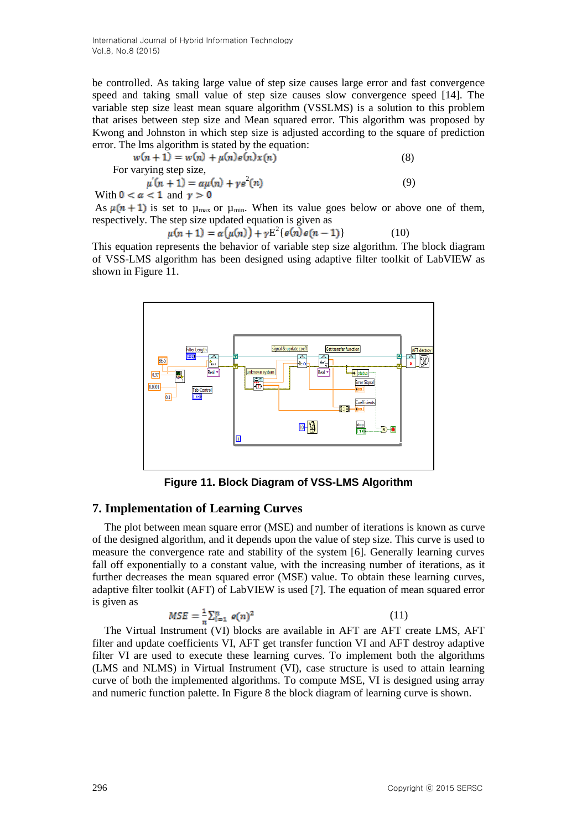be controlled. As taking large value of step size causes large error and fast convergence speed and taking small value of step size causes slow convergence speed [14]. The variable step size least mean square algorithm (VSSLMS) is a solution to this problem that arises between step size and Mean squared error. This algorithm was proposed by Kwong and Johnston in which step size is adjusted according to the square of prediction error. The lms algorithm is stated by the equation:

$$
w(n + 1) = w(n) + \mu(n)e(n)x(n)
$$
\n
$$
\text{For varying step size,}
$$
\n
$$
\mu'(n + 1) = \alpha \mu(n) + \gamma e^{2}(n)
$$
\n
$$
\text{With } 0 < \alpha < 1 \text{ and } \gamma > 0 \tag{9}
$$

As  $\mu(n + 1)$  is set to  $\mu_{max}$  or  $\mu_{min}$ . When its value goes below or above one of them, respectively. The step size updated equation is given as

$$
u(n+1) = \alpha(\mu(n)) + \gamma E^2\{e(n)e(n-1)\}
$$
 (10)

This equation represents the behavior of variable step size algorithm. The block diagram of VSS-LMS algorithm has been designed using adaptive filter toolkit of LabVIEW as shown in Figure 11.



**Figure 11. Block Diagram of VSS-LMS Algorithm**

## **7. Implementation of Learning Curves**

The plot between mean square error (MSE) and number of iterations is known as curve of the designed algorithm, and it depends upon the value of step size. This curve is used to measure the convergence rate and stability of the system [6]. Generally learning curves fall off exponentially to a constant value, with the increasing number of iterations, as it further decreases the mean squared error (MSE) value. To obtain these learning curves, adaptive filter toolkit (AFT) of LabVIEW is used [7]. The equation of mean squared error is given as

$$
MSE = \frac{1}{n} \sum_{i=1}^{n} e(n)^2
$$
 (11)

The Virtual Instrument (VI) blocks are available in AFT are AFT create LMS, AFT filter and update coefficients VI, AFT get transfer function VI and AFT destroy adaptive filter VI are used to execute these learning curves. To implement both the algorithms (LMS and NLMS) in Virtual Instrument (VI), case structure is used to attain learning curve of both the implemented algorithms. To compute MSE, VI is designed using array and numeric function palette. In Figure 8 the block diagram of learning curve is shown.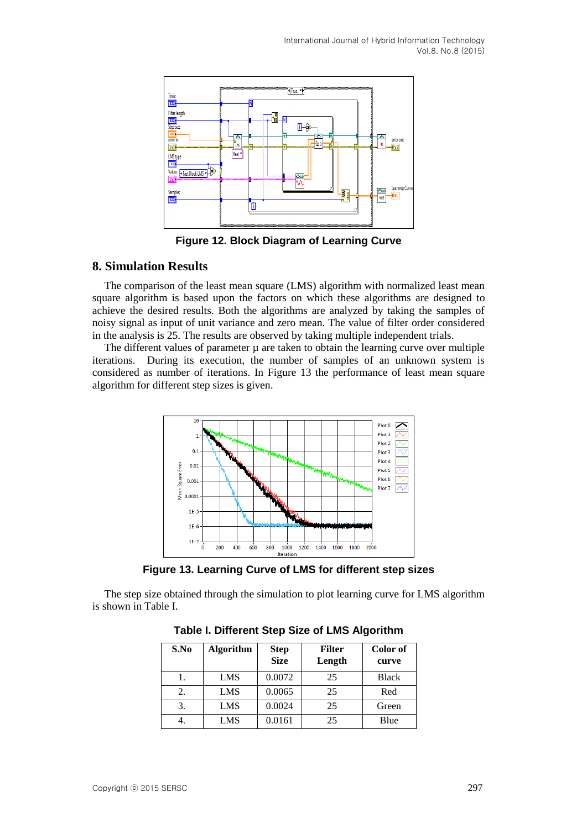

**Figure 12. Block Diagram of Learning Curve**

### **8. Simulation Results**

The comparison of the least mean square (LMS) algorithm with normalized least mean square algorithm is based upon the factors on which these algorithms are designed to achieve the desired results. Both the algorithms are analyzed by taking the samples of noisy signal as input of unit variance and zero mean. The value of filter order considered in the analysis is 25. The results are observed by taking multiple independent trials.

The different values of parameter  $\mu$  are taken to obtain the learning curve over multiple iterations. During its execution, the number of samples of an unknown system is considered as number of iterations. In Figure 13 the performance of least mean square algorithm for different step sizes is given.



**Figure 13. Learning Curve of LMS for different step sizes**

The step size obtained through the simulation to plot learning curve for LMS algorithm is shown in Table I.

| S.No | <b>Algorithm</b> | <b>Step</b><br><b>Size</b> | <b>Filter</b><br>Length | Color of<br>curve |
|------|------------------|----------------------------|-------------------------|-------------------|
|      | LMS              | 0.0072                     | 25                      | <b>Black</b>      |
| 2.   | LMS              | 0.0065                     | 25                      | Red               |
| 3.   | LMS              | 0.0024                     | 25                      | Green             |
| 4.   | LMS              | 0.0161                     | 25                      | Blue              |

**Table I. Different Step Size of LMS Algorithm**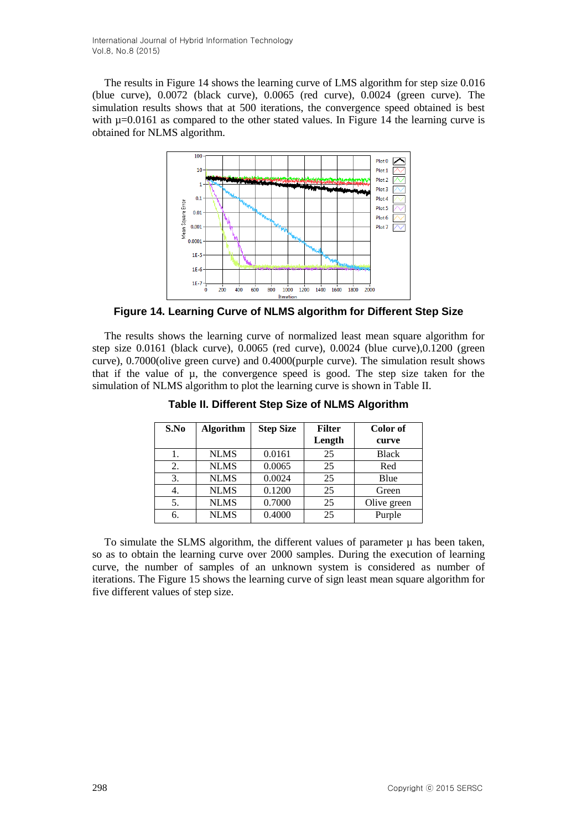The results in Figure 14 shows the learning curve of LMS algorithm for step size 0.016 (blue curve), 0.0072 (black curve), 0.0065 (red curve), 0.0024 (green curve). The simulation results shows that at 500 iterations, the convergence speed obtained is best with  $\mu$ =0.0161 as compared to the other stated values. In Figure 14 the learning curve is obtained for NLMS algorithm.



**Figure 14. Learning Curve of NLMS algorithm for Different Step Size**

The results shows the learning curve of normalized least mean square algorithm for step size 0.0161 (black curve), 0.0065 (red curve), 0.0024 (blue curve),0.1200 (green curve), 0.7000(olive green curve) and 0.4000(purple curve). The simulation result shows that if the value of µ, the convergence speed is good. The step size taken for the simulation of NLMS algorithm to plot the learning curve is shown in Table II.

| S.No | <b>Algorithm</b> | <b>Step Size</b> | <b>Filter</b><br>Length | Color of<br>curve |
|------|------------------|------------------|-------------------------|-------------------|
|      | <b>NLMS</b>      | 0.0161           | 25                      | <b>Black</b>      |
| 2.   | <b>NLMS</b>      | 0.0065           | 25                      | Red               |
| 3.   | <b>NLMS</b>      | 0.0024           | 25                      | Blue              |
|      | <b>NLMS</b>      | 0.1200           | 25                      | Green             |
| 5.   | <b>NLMS</b>      | 0.7000           | 25                      | Olive green       |
| 6.   | <b>NLMS</b>      | 0.4000           | 25                      | Purple            |

**Table II. Different Step Size of NLMS Algorithm**

To simulate the SLMS algorithm, the different values of parameter  $\mu$  has been taken, so as to obtain the learning curve over 2000 samples. During the execution of learning curve, the number of samples of an unknown system is considered as number of iterations. The Figure 15 shows the learning curve of sign least mean square algorithm for five different values of step size.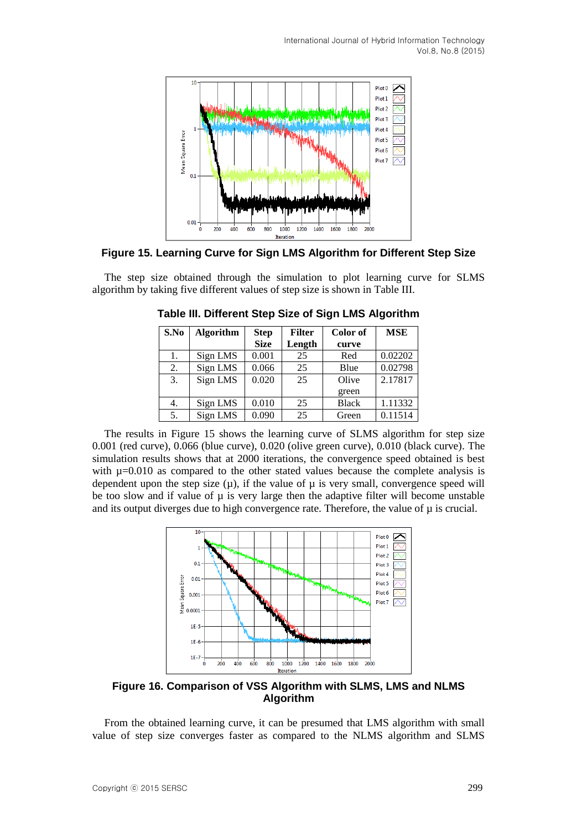

### **Figure 15. Learning Curve for Sign LMS Algorithm for Different Step Size**

The step size obtained through the simulation to plot learning curve for SLMS algorithm by taking five different values of step size is shown in Table III.

| S.No | <b>Algorithm</b> | <b>Step</b> | <b>Filter</b> | Color of     | <b>MSE</b> |
|------|------------------|-------------|---------------|--------------|------------|
|      |                  | <b>Size</b> | Length        | curve        |            |
| 1.   | Sign LMS         | 0.001       | 25            | Red          | 0.02202    |
| 2.   | Sign LMS         | 0.066       | 25            | Blue         | 0.02798    |
| 3.   | Sign LMS         | 0.020       | 25            | Olive        | 2.17817    |
|      |                  |             |               | green        |            |
| 4.   | Sign LMS         | 0.010       | 25            | <b>Black</b> | 1.11332    |
| 5.   | Sign LMS         | 0.090       | 25            | Green        | 0.11514    |

**Table III. Different Step Size of Sign LMS Algorithm**

The results in Figure 15 shows the learning curve of SLMS algorithm for step size 0.001 (red curve), 0.066 (blue curve), 0.020 (olive green curve), 0.010 (black curve). The simulation results shows that at 2000 iterations, the convergence speed obtained is best with  $\mu$ =0.010 as compared to the other stated values because the complete analysis is dependent upon the step size  $(\mu)$ , if the value of  $\mu$  is very small, convergence speed will be too slow and if value of  $\mu$  is very large then the adaptive filter will become unstable and its output diverges due to high convergence rate. Therefore, the value of  $\mu$  is crucial.



**Figure 16. Comparison of VSS Algorithm with SLMS, LMS and NLMS Algorithm**

From the obtained learning curve, it can be presumed that LMS algorithm with small value of step size converges faster as compared to the NLMS algorithm and SLMS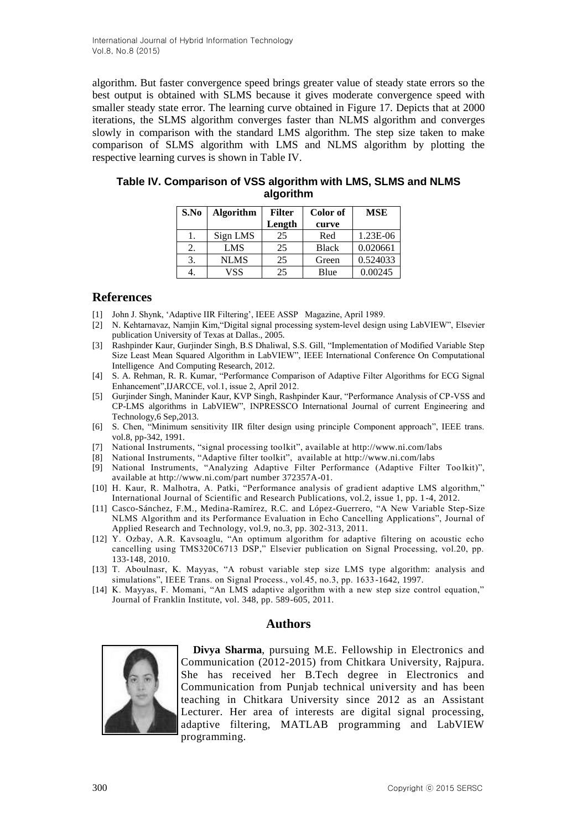algorithm. But faster convergence speed brings greater value of steady state errors so the best output is obtained with SLMS because it gives moderate convergence speed with smaller steady state error. The learning curve obtained in Figure 17. Depicts that at 2000 iterations, the SLMS algorithm converges faster than NLMS algorithm and converges slowly in comparison with the standard LMS algorithm. The step size taken to make comparison of SLMS algorithm with LMS and NLMS algorithm by plotting the respective learning curves is shown in Table IV.

| S.No | <b>Algorithm</b> | <b>Filter</b> | Color of     | <b>MSE</b> |
|------|------------------|---------------|--------------|------------|
|      |                  | Length        | curve        |            |
| ı.   | Sign LMS         | 25            | Red          | 1.23E-06   |
| 2.   | <b>LMS</b>       | 25            | <b>Black</b> | 0.020661   |
| 3.   | <b>NLMS</b>      | 25            | Green        | 0.524033   |
|      | VSS              | 25            | Blue         | 0.00245    |

| Table IV. Comparison of VSS algorithm with LMS, SLMS and NLMS |
|---------------------------------------------------------------|
| algorithm                                                     |

### **References**

- [1] John J. Shynk, 'Adaptive IIR Filtering', IEEE ASSP Magazine, April 1989.
- [2] N. Kehtarnavaz, Namjin Kim,"Digital signal processing system-level design using LabVIEW", Elsevier publication University of Texas at Dallas., 2005.
- [3] Rashpinder Kaur, Gurjinder Singh, B.S Dhaliwal, S.S. Gill, "Implementation of Modified Variable Step Size Least Mean Squared Algorithm in LabVIEW", IEEE International Conference On Computational Intelligence And Computing Research, 2012.
- [4] S. A. Rehman, R. R. Kumar, "Performance Comparison of Adaptive Filter Algorithms for ECG Signal Enhancement",IJARCCE, vol.1, issue 2, April 2012.
- [5] Gurjinder Singh, Maninder Kaur, KVP Singh, Rashpinder Kaur, "Performance Analysis of CP-VSS and CP-LMS algorithms in LabVIEW", INPRESSCO International Journal of current Engineering and Technology,6 Sep,2013.
- [6] S. Chen, "Minimum sensitivity IIR filter design using principle Component approach", IEEE trans. vol.8, pp-342, 1991.
- [7] National Instruments, "signal processing toolkit", available at<http://www.ni.com/labs>
- [8] National Instruments, "Adaptive filter toolkit", available at http://www.ni.com/labs
- [9] National Instruments, "Analyzing Adaptive Filter Performance (Adaptive Filter Toolkit)", available at http://www.ni.com/part number 372357A-01.
- [10] H. Kaur, R. Malhotra, A. Patki, "Performance analysis of gradient adaptive LMS algorithm," International Journal of Scientific and Research Publications, vol.2, issue 1, pp. 1-4, 2012.
- [11] Casco-Sánchez, F.M., Medina-Ramírez, R.C. and López-Guerrero, "A New Variable Step-Size NLMS Algorithm and its Performance Evaluation in Echo Cancelling Applications", Journal of Applied Research and Technology, vol.9, no.3, pp. 302-313, 2011.
- [12] Y. Ozbay, A.R. Kavsoaglu, "An optimum algorithm for adaptive filtering on acoustic echo cancelling using TMS320C6713 DSP," Elsevier publication on Signal Processing, vol.20, pp. 133-148, 2010.
- [13] T. Aboulnasr, K. Mayyas, "A robust variable step size LMS type algorithm: analysis and simulations", IEEE Trans. on Signal Process., vol.45, no.3, pp. 1633-1642, 1997.
- [14] K. Mayyas, F. Momani, "An LMS adaptive algorithm with a new step size control equation," Journal of Franklin Institute, vol. 348, pp. 589-605, 2011.

#### **Authors**



**Divya Sharma**, pursuing M.E. Fellowship in Electronics and Communication (2012-2015) from Chitkara University, Rajpura. She has received her B.Tech degree in Electronics and Communication from Punjab technical university and has been teaching in Chitkara University since 2012 as an Assistant Lecturer. Her area of interests are digital signal processing, adaptive filtering, MATLAB programming and LabVIEW programming.